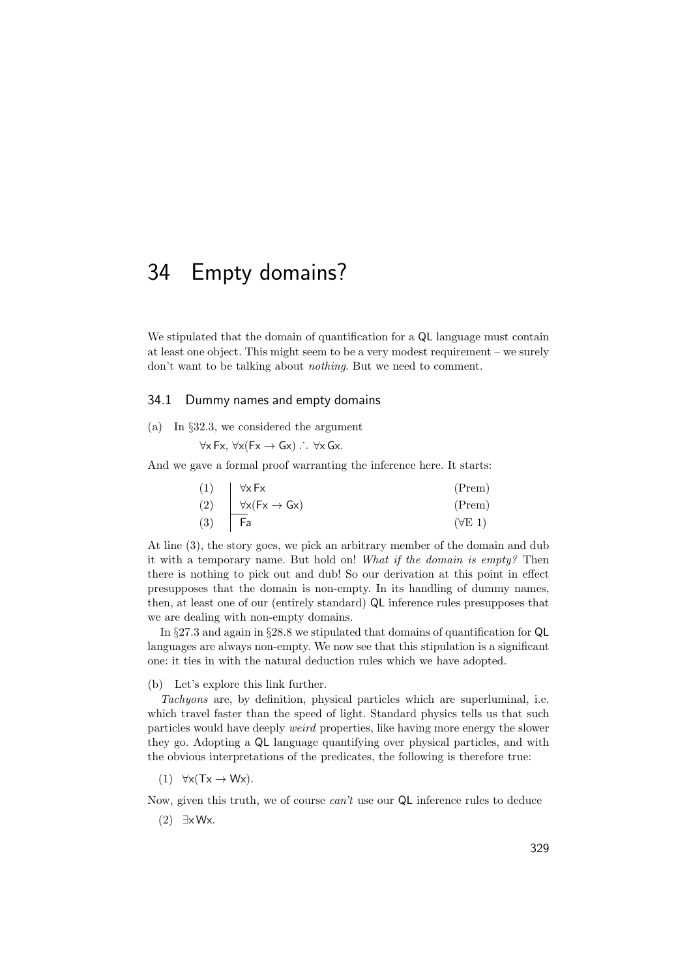## 34 Empty domains?

We stipulated that the domain of quantification for a  $QL$  language must contain at least one object. This might seem to be a very modest requirement – we surely don't want to be talking about *nothing*. But we need to comment.

## 34.1 Dummy names and empty domains

- (a) In *§*32.3, we considered the argument
	- $\forall x$  Fx,  $\forall x$ (Fx  $\rightarrow$  Gx)  $\therefore \forall x$  Gx.

And we gave a formal proof warranting the inference here. It starts:

|            | $(1)$ $\forall x \in x$             | $($ Prem $)$    |
|------------|-------------------------------------|-----------------|
|            | (2) $\forall x (Fx \rightarrow Gx)$ | $($ Prem $)$    |
| $(3)$   Fa |                                     | $(\forall E 1)$ |

At line (3), the story goes, we pick an arbitrary member of the domain and dub it with a temporary name. But hold on! *What if the domain is empty?* Then there is nothing to pick out and dub! So our derivation at this point in effect presupposes that the domain is non-empty. In its handling of dummy names, then, at least one of our (entirely standard) QL inference rules presupposes that we are dealing with non-empty domains.

In *§*27.3 and again in *§*28.8 we stipulated that domains of quantification for QL languages are always non-empty. We now see that this stipulation is a significant one: it ties in with the natural deduction rules which we have adopted.

(b) Let's explore this link further.

*Tachyons* are, by definition, physical particles which are superluminal, i.e. which travel faster than the speed of light. Standard physics tells us that such particles would have deeply *weird* properties, like having more energy the slower they go. Adopting a QL language quantifying over physical particles, and with the obvious interpretations of the predicates, the following is therefore true:

(1)  $\forall x(Tx \rightarrow Wx)$ .

Now, given this truth, we of course *can't* use our QL inference rules to deduce

 $(2)$   $\exists x$  Wx.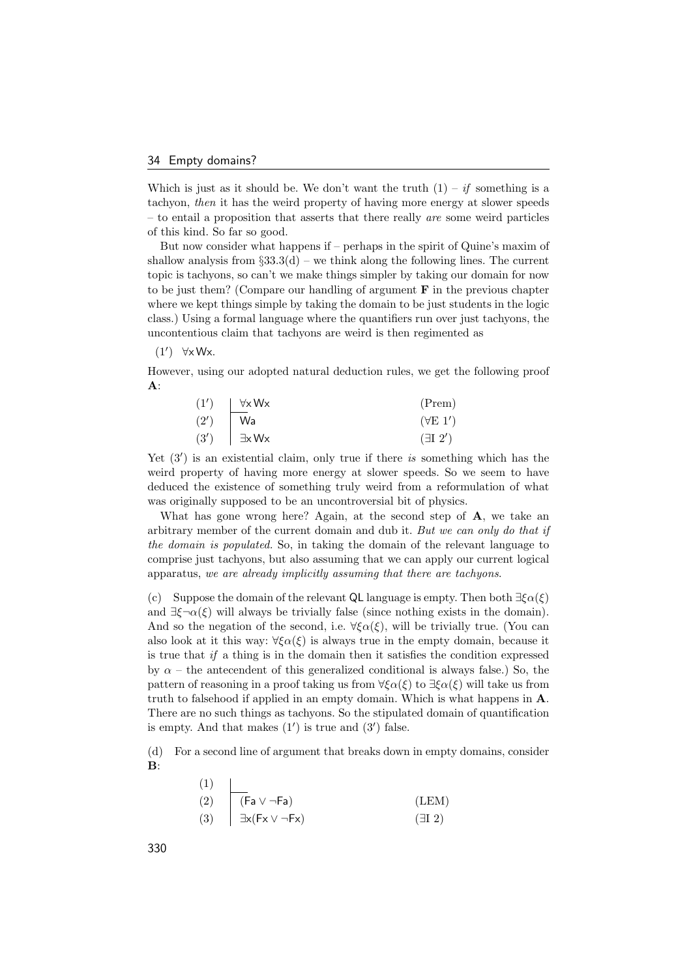Which is just as it should be. We don't want the truth  $(1) - if$  something is a tachyon, *then* it has the weird property of having more energy at slower speeds – to entail a proposition that asserts that there really *are* some weird particles of this kind. So far so good.

But now consider what happens if – perhaps in the spirit of Quine's maxim of shallow analysis from *§*33.3(d) – we think along the following lines. The current topic is tachyons, so can't we make things simpler by taking our domain for now to be just them? (Compare our handling of argument  $\bf{F}$  in the previous chapter where we kept things simple by taking the domain to be just students in the logic class.) Using a formal language where the quantifiers run over just tachyons, the uncontentious claim that tachyons are weird is then regimented as

 $(1') \quad \forall x \mathsf{W} x.$ 

However, using our adopted natural deduction rules, we get the following proof A:

|             | $(1')$ $\forall x \mathsf{W} x$ | $($ Prem $)$      |
|-------------|---------------------------------|-------------------|
| $(2')$   Wa |                                 | $(\forall E\ 1')$ |
|             | $(3')$ $\exists x \mathsf{W} x$ | $(\exists 1\;2')$ |

Yet  $(3')$  is an existential claim, only true if there *is* something which has the weird property of having more energy at slower speeds. So we seem to have deduced the existence of something truly weird from a reformulation of what was originally supposed to be an uncontroversial bit of physics.

What has gone wrong here? Again, at the second step of A, we take an arbitrary member of the current domain and dub it. *But we can only do that if the domain is populated.* So, in taking the domain of the relevant language to comprise just tachyons, but also assuming that we can apply our current logical apparatus, *we are already implicitly assuming that there are tachyons*.

(c) Suppose the domain of the relevant QL language is empty. Then both  $\exists \xi \alpha(\xi)$ and  $\exists \xi \neg \alpha(\xi)$  will always be trivially false (since nothing exists in the domain). And so the negation of the second, i.e.  $\forall \xi \alpha(\xi)$ , will be trivially true. (You can also look at it this way:  $\forall \xi \alpha(\xi)$  is always true in the empty domain, because it is true that *if* a thing is in the domain then it satisfies the condition expressed by  $\alpha$  – the antecendent of this generalized conditional is always false.) So, the pattern of reasoning in a proof taking us from  $\forall \xi \alpha(\xi)$  to  $\exists \xi \alpha(\xi)$  will take us from truth to falsehood if applied in an empty domain. Which is what happens in A. There are no such things as tachyons. So the stipulated domain of quantification is empty. And that makes  $(1')$  is true and  $(3')$  false.

(d) For a second line of argument that breaks down in empty domains, consider B:

$$
\begin{array}{c|c}\n(1) & \downarrow \\
(2) & (\text{Fa } \vee \neg \text{Fa}) & \\
(3) & \exists x (\text{Fx } \vee \neg \text{Fx}) & \\
\end{array}
$$
\n
$$
(LEM)
$$
\n
$$
\begin{array}{c|c}\n(\text{LEM}) & \downarrow \\
(\exists I \ 2)\n\end{array}
$$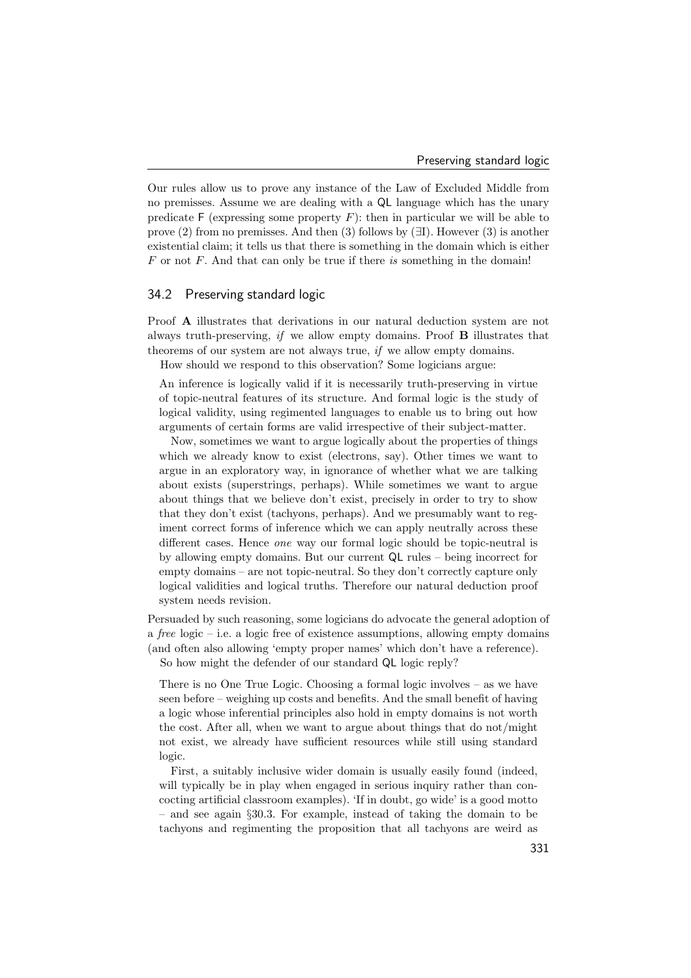Our rules allow us to prove any instance of the Law of Excluded Middle from no premisses. Assume we are dealing with a QL language which has the unary predicate F (expressing some property *F*): then in particular we will be able to prove (2) from no premisses. And then (3) follows by  $(\exists I)$ . However (3) is another existential claim; it tells us that there is something in the domain which is either *F* or not *F*. And that can only be true if there *is* something in the domain!

## 34.2 Preserving standard logic

Proof A illustrates that derivations in our natural deduction system are not always truth-preserving, *if* we allow empty domains. Proof B illustrates that theorems of our system are not always true, *if* we allow empty domains.

How should we respond to this observation? Some logicians argue:

An inference is logically valid if it is necessarily truth-preserving in virtue of topic-neutral features of its structure. And formal logic is the study of logical validity, using regimented languages to enable us to bring out how arguments of certain forms are valid irrespective of their subject-matter.

Now, sometimes we want to argue logically about the properties of things which we already know to exist (electrons, say). Other times we want to argue in an exploratory way, in ignorance of whether what we are talking about exists (superstrings, perhaps). While sometimes we want to argue about things that we believe don't exist, precisely in order to try to show that they don't exist (tachyons, perhaps). And we presumably want to regiment correct forms of inference which we can apply neutrally across these different cases. Hence *one* way our formal logic should be topic-neutral is by allowing empty domains. But our current QL rules – being incorrect for empty domains – are not topic-neutral. So they don't correctly capture only logical validities and logical truths. Therefore our natural deduction proof system needs revision.

Persuaded by such reasoning, some logicians do advocate the general adoption of a *free* logic – i.e. a logic free of existence assumptions, allowing empty domains (and often also allowing 'empty proper names' which don't have a reference). So how might the defender of our standard QL logic reply?

There is no One True Logic. Choosing a formal logic involves – as we have seen before – weighing up costs and benefits. And the small benefit of having a logic whose inferential principles also hold in empty domains is not worth the cost. After all, when we want to argue about things that do not/might not exist, we already have sufficient resources while still using standard logic.

First, a suitably inclusive wider domain is usually easily found (indeed, will typically be in play when engaged in serious inquiry rather than concocting artificial classroom examples). 'If in doubt, go wide' is a good motto – and see again *§*30.3. For example, instead of taking the domain to be tachyons and regimenting the proposition that all tachyons are weird as